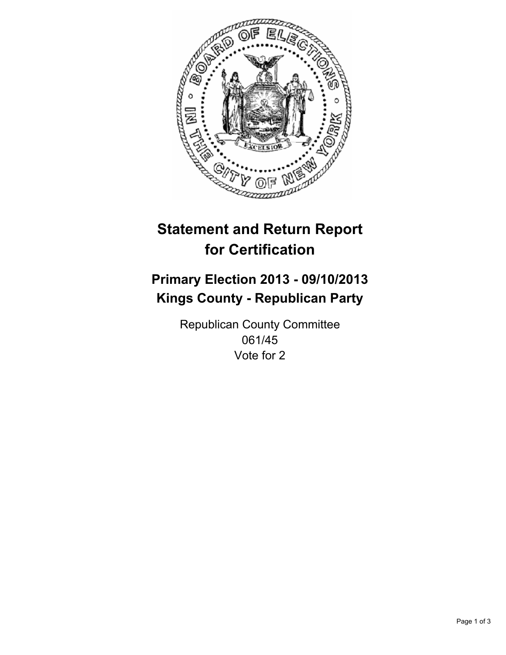

# **Statement and Return Report for Certification**

# **Primary Election 2013 - 09/10/2013 Kings County - Republican Party**

Republican County Committee 061/45 Vote for 2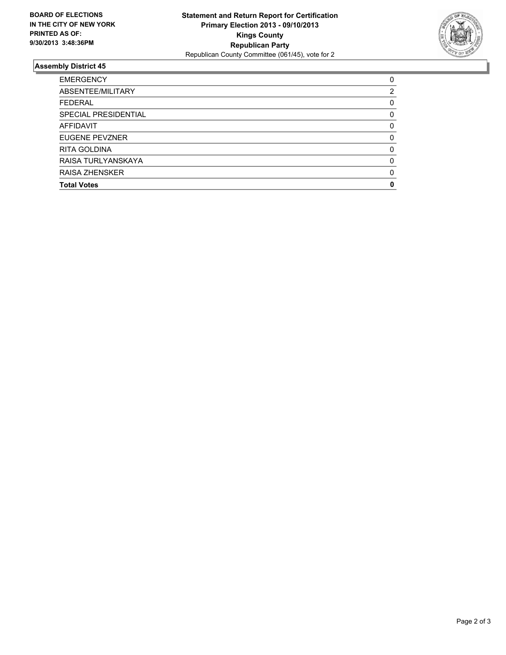

## **Assembly District 45**

| <b>EMERGENCY</b>            | 0        |
|-----------------------------|----------|
| ABSENTEE/MILITARY           | 2        |
| <b>FEDERAL</b>              | 0        |
| <b>SPECIAL PRESIDENTIAL</b> | 0        |
| <b>AFFIDAVIT</b>            | 0        |
| EUGENE PEVZNER              | 0        |
| <b>RITA GOLDINA</b>         | 0        |
| RAISA TURLYANSKAYA          | $\Omega$ |
| <b>RAISA ZHENSKER</b>       | 0        |
| <b>Total Votes</b>          | O        |
|                             |          |